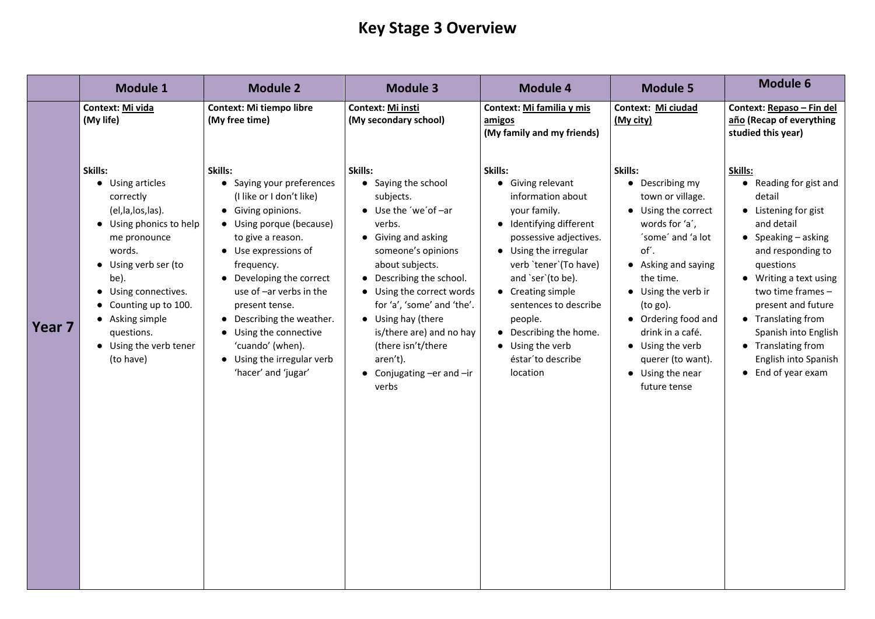# **Key Stage 3 Overview**

|        | <b>Module 1</b>                                                                                                                                                                                                                                                               | <b>Module 2</b>                                                                                                                                                                                                                                                                                                                                                                         | <b>Module 3</b>                                                                                                                                                                                                                                                                                                                                                                | <b>Module 4</b>                                                                                                                                                                                                                                                                                                                                            | <b>Module 5</b>                                                                                                                                                                                                                                                                                                     | <b>Module 6</b>                                                                                                                                                                                                                                                                                                                             |
|--------|-------------------------------------------------------------------------------------------------------------------------------------------------------------------------------------------------------------------------------------------------------------------------------|-----------------------------------------------------------------------------------------------------------------------------------------------------------------------------------------------------------------------------------------------------------------------------------------------------------------------------------------------------------------------------------------|--------------------------------------------------------------------------------------------------------------------------------------------------------------------------------------------------------------------------------------------------------------------------------------------------------------------------------------------------------------------------------|------------------------------------------------------------------------------------------------------------------------------------------------------------------------------------------------------------------------------------------------------------------------------------------------------------------------------------------------------------|---------------------------------------------------------------------------------------------------------------------------------------------------------------------------------------------------------------------------------------------------------------------------------------------------------------------|---------------------------------------------------------------------------------------------------------------------------------------------------------------------------------------------------------------------------------------------------------------------------------------------------------------------------------------------|
|        | <b>Context: Mi vida</b><br>(My life)                                                                                                                                                                                                                                          | <b>Context: Mi tiempo libre</b><br>(My free time)                                                                                                                                                                                                                                                                                                                                       | <b>Context: Mi insti</b><br>(My secondary school)                                                                                                                                                                                                                                                                                                                              | <b>Context: Mi familia y mis</b><br>amigos<br>(My family and my friends)                                                                                                                                                                                                                                                                                   | Context: Mi ciudad<br>(My city)                                                                                                                                                                                                                                                                                     | Context: Repaso - Fin del<br>año (Recap of everything<br>studied this year)                                                                                                                                                                                                                                                                 |
| Year 7 | Skills:<br>• Using articles<br>correctly<br>(el, la, los, las).<br>• Using phonics to help<br>me pronounce<br>words.<br>• Using verb ser (to<br>be).<br>• Using connectives.<br>• Counting up to 100.<br>• Asking simple<br>questions.<br>• Using the verb tener<br>(to have) | Skills:<br>Saying your preferences<br>(I like or I don't like)<br>• Giving opinions.<br>• Using porque (because)<br>to give a reason.<br>• Use expressions of<br>frequency.<br>• Developing the correct<br>use of $-$ ar verbs in the<br>present tense.<br>• Describing the weather.<br>• Using the connective<br>'cuando' (when).<br>• Using the irregular verb<br>'hacer' and 'jugar' | Skills:<br>• Saying the school<br>subjects.<br>$\bullet$ Use the 'we' of $-$ ar<br>verbs.<br>• Giving and asking<br>someone's opinions<br>about subjects.<br>• Describing the school.<br>• Using the correct words<br>for 'a', 'some' and 'the'.<br>• Using hay (there<br>is/there are) and no hay<br>(there isn't/there<br>aren't).<br>• Conjugating $-er$ and $-ir$<br>verbs | Skills:<br>Giving relevant<br>information about<br>your family.<br>• Identifying different<br>possessive adjectives.<br>• Using the irregular<br>verb 'tener' (To have)<br>and `ser`(to be).<br>• Creating simple<br>sentences to describe<br>people.<br>Describing the home.<br>$\bullet$<br>Using the verb<br>$\bullet$<br>éstar'to describe<br>location | Skills:<br>• Describing my<br>town or village.<br>• Using the correct<br>words for 'a',<br>'some' and 'a lot<br>of'.<br>• Asking and saying<br>the time.<br>• Using the verb ir<br>(to go).<br>• Ordering food and<br>drink in a café.<br>• Using the verb<br>querer (to want).<br>• Using the near<br>future tense | Skills:<br>• Reading for gist and<br>detail<br>• Listening for gist<br>and detail<br>• Speaking $-$ asking<br>and responding to<br>questions<br>• Writing a text using<br>two time frames -<br>present and future<br>• Translating from<br>Spanish into English<br>• Translating from<br>English into Spanish<br>$\bullet$ End of year exam |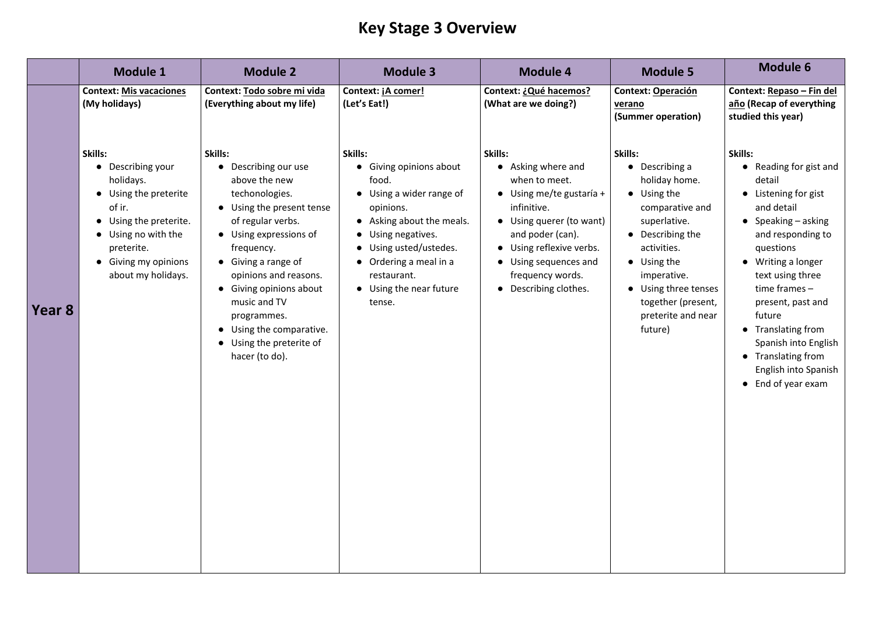## **Key Stage 3 Overview**

|        | <b>Module 1</b>                                                                                                                                                                   | <b>Module 2</b>                                                                                                                                                                                                                                                                                                                                                             | <b>Module 3</b>                                                                                                                                                                                                                             | <b>Module 4</b>                                                                                                                                                                                                                                     | <b>Module 5</b>                                                                                                                                                                                                                                            | <b>Module 6</b>                                                                                                                                                                                                                                                                                                                                              |
|--------|-----------------------------------------------------------------------------------------------------------------------------------------------------------------------------------|-----------------------------------------------------------------------------------------------------------------------------------------------------------------------------------------------------------------------------------------------------------------------------------------------------------------------------------------------------------------------------|---------------------------------------------------------------------------------------------------------------------------------------------------------------------------------------------------------------------------------------------|-----------------------------------------------------------------------------------------------------------------------------------------------------------------------------------------------------------------------------------------------------|------------------------------------------------------------------------------------------------------------------------------------------------------------------------------------------------------------------------------------------------------------|--------------------------------------------------------------------------------------------------------------------------------------------------------------------------------------------------------------------------------------------------------------------------------------------------------------------------------------------------------------|
|        | <b>Context: Mis vacaciones</b><br>(My holidays)                                                                                                                                   | Context: Todo sobre mi vida<br>(Everything about my life)                                                                                                                                                                                                                                                                                                                   | Context: jA comer!<br>(Let's Eat!)                                                                                                                                                                                                          | Context: ¿Qué hacemos?<br>(What are we doing?)                                                                                                                                                                                                      | <b>Context: Operación</b><br>verano<br>(Summer operation)                                                                                                                                                                                                  | Context: Repaso-I<br>año (Recap of ever<br>studied this year)                                                                                                                                                                                                                                                                                                |
| Year 8 | Skills:<br>Describing your<br>holidays.<br>Using the preterite<br>of ir.<br>• Using the preterite.<br>Using no with the<br>preterite.<br>Giving my opinions<br>about my holidays. | Skills:<br>Describing our use<br>above the new<br>techonologies.<br>• Using the present tense<br>of regular verbs.<br>• Using expressions of<br>frequency.<br>• Giving a range of<br>opinions and reasons.<br><b>Giving opinions about</b><br>$\bullet$<br>music and TV<br>programmes.<br>• Using the comparative.<br>Using the preterite of<br>$\bullet$<br>hacer (to do). | Skills:<br>• Giving opinions about<br>food.<br>Using a wider range of<br>opinions.<br>• Asking about the meals.<br>• Using negatives.<br>Using usted/ustedes.<br>• Ordering a meal in a<br>restaurant.<br>• Using the near future<br>tense. | Skills:<br>• Asking where and<br>when to meet.<br>$\bullet$ Using me/te gustaría +<br>infinitive.<br>• Using querer (to want)<br>and poder (can).<br>• Using reflexive verbs.<br>• Using sequences and<br>frequency words.<br>• Describing clothes. | Skills:<br>$\bullet$ Describing a<br>holiday home.<br>• Using the<br>comparative and<br>superlative.<br>• Describing the<br>activities.<br>$\bullet$ Using the<br>imperative.<br>Using three tenses<br>together (present,<br>preterite and near<br>future) | Skills:<br>• Reading for g<br>detail<br>• Listening for<br>and detail<br>• Speaking $-$ as<br>and respondi<br>questions<br>Writing a lon<br>$\bullet$<br>text using thr<br>time frames -<br>present, past<br>future<br><b>Translating fr</b><br>$\bullet$<br>Spanish into<br><b>Translating fr</b><br>$\bullet$<br>English into S<br>$\bullet$ End of year e |

- ribing a
- ay home.
- the
- arative and
- rlative.
- ibing the
- ties.
- the
- rative.
- three tenses her (present,
- rite and near e)

**Context: Repaso – Fin del año (Recap of everything studied this year)**

### **Skills:**

- Reading for gist and detail
- Listening for gist and detail
- Speaking asking and responding to questions
- Writing a longer text using three time frames – present, past and future
- Translating from Spanish into English
- Translating from English into Spanish
- End of year exam